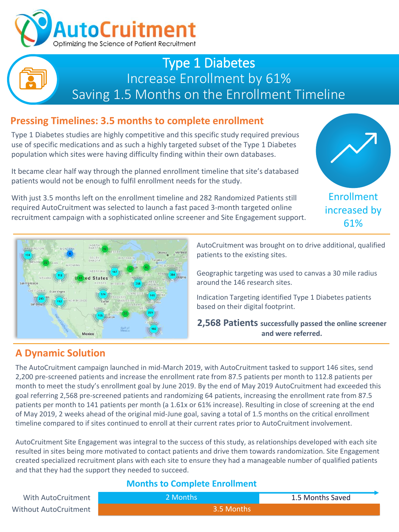

## Type 1 Diabetes Increase Enrollment by 61% Saving 1.5 Months on the Enrollment Timeline

## **Pressing Timelines: 3.5 months to complete enrollment**

Type 1 Diabetes studies are highly competitive and this specific study required previous use of specific medications and as such a highly targeted subset of the Type 1 Diabetes population which sites were having difficulty finding within their own databases.

It became clear half way through the planned enrollment timeline that site's databased patients would not be enough to fulfil enrollment needs for the study.

With just 3.5 months left on the enrollment timeline and 282 Randomized Patients still required AutoCruitment was selected to launch a fast paced 3-month targeted online recruitment campaign with a sophisticated online screener and Site Engagement support.



increased by 61%



AutoCruitment was brought on to drive additional, qualified patients to the existing sites.

Geographic targeting was used to canvas a 30 mile radius around the 146 research sites.

Indication Targeting identified Type 1 Diabetes patients based on their digital footprint.

**2,568 Patients successfully passed the online screener and were referred.**

## **A Dynamic Solution**

The AutoCruitment campaign launched in mid-March 2019, with AutoCruitment tasked to support 146 sites, send 2,200 pre-screened patients and increase the enrollment rate from 87.5 patients per month to 112.8 patients per month to meet the study's enrollment goal by June 2019. By the end of May 2019 AutoCruitment had exceeded this goal referring 2,568 pre-screened patients and randomizing 64 patients, increasing the enrollment rate from 87.5 patients per month to 141 patients per month (a 1.61x or 61% increase). Resulting in close of screening at the end of May 2019, 2 weeks ahead of the original mid-June goal, saving a total of 1.5 months on the critical enrollment timeline compared to if sites continued to enroll at their current rates prior to AutoCruitment involvement.

AutoCruitment Site Engagement was integral to the success of this study, as relationships developed with each site resulted in sites being more motivated to contact patients and drive them towards randomization. Site Engagement created specialized recruitment plans with each site to ensure they had a manageable number of qualified patients and that they had the support they needed to succeed.

#### **Months to Complete Enrollment**

| With AutoCruitment    | 2 Months / | 1.5 Months Saved |
|-----------------------|------------|------------------|
| Without AutoCruitment | 3.5 Months |                  |